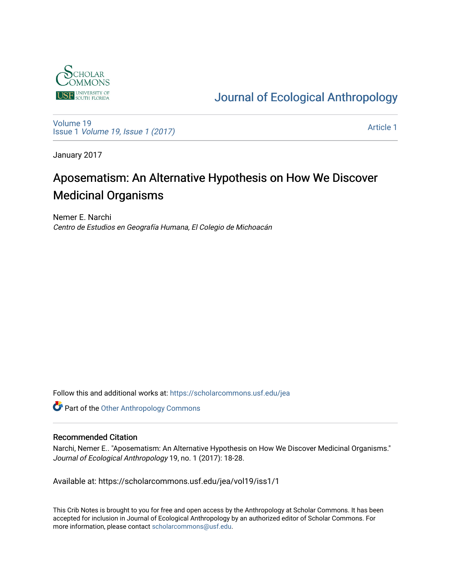

[Journal of Ecological Anthropology](https://scholarcommons.usf.edu/jea) 

[Volume 19](https://scholarcommons.usf.edu/jea/vol19) Issue 1 [Volume 19, Issue 1 \(2017\)](https://scholarcommons.usf.edu/jea/vol19/iss1)

[Article 1](https://scholarcommons.usf.edu/jea/vol19/iss1/1) 

January 2017

## Aposematism: An Alternative Hypothesis on How We Discover Medicinal Organisms

Nemer E. Narchi Centro de Estudios en Geografía Humana, El Colegio de Michoacán

Follow this and additional works at: [https://scholarcommons.usf.edu/jea](https://scholarcommons.usf.edu/jea?utm_source=scholarcommons.usf.edu%2Fjea%2Fvol19%2Fiss1%2F1&utm_medium=PDF&utm_campaign=PDFCoverPages) 

**Part of the [Other Anthropology Commons](http://network.bepress.com/hgg/discipline/324?utm_source=scholarcommons.usf.edu%2Fjea%2Fvol19%2Fiss1%2F1&utm_medium=PDF&utm_campaign=PDFCoverPages)** 

#### Recommended Citation

Narchi, Nemer E.. "Aposematism: An Alternative Hypothesis on How We Discover Medicinal Organisms." Journal of Ecological Anthropology 19, no. 1 (2017): 18-28.

Available at: https://scholarcommons.usf.edu/jea/vol19/iss1/1

This Crib Notes is brought to you for free and open access by the Anthropology at Scholar Commons. It has been accepted for inclusion in Journal of Ecological Anthropology by an authorized editor of Scholar Commons. For more information, please contact [scholarcommons@usf.edu](mailto:scholarcommons@usf.edu).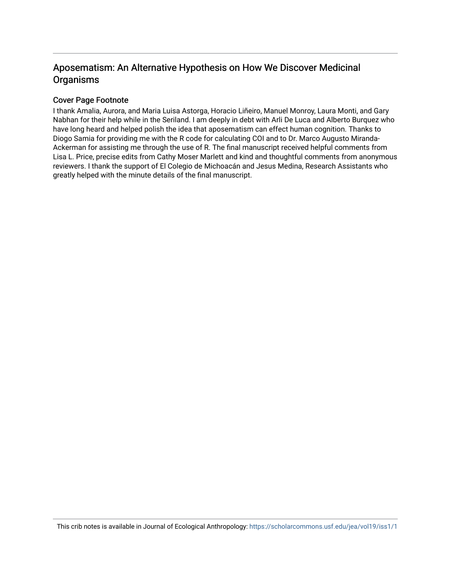## Aposematism: An Alternative Hypothesis on How We Discover Medicinal Organisms

#### Cover Page Footnote

I thank Amalia, Aurora, and Maria Luisa Astorga, Horacio Liñeiro, Manuel Monroy, Laura Monti, and Gary Nabhan for their help while in the Seriland. I am deeply in debt with Arli De Luca and Alberto Burquez who have long heard and helped polish the idea that aposematism can effect human cognition. Thanks to Diogo Samia for providing me with the R code for calculating COI and to Dr. Marco Augusto Miranda-Ackerman for assisting me through the use of R. The final manuscript received helpful comments from Lisa L. Price, precise edits from Cathy Moser Marlett and kind and thoughtful comments from anonymous reviewers. I thank the support of El Colegio de Michoacán and Jesus Medina, Research Assistants who greatly helped with the minute details of the final manuscript.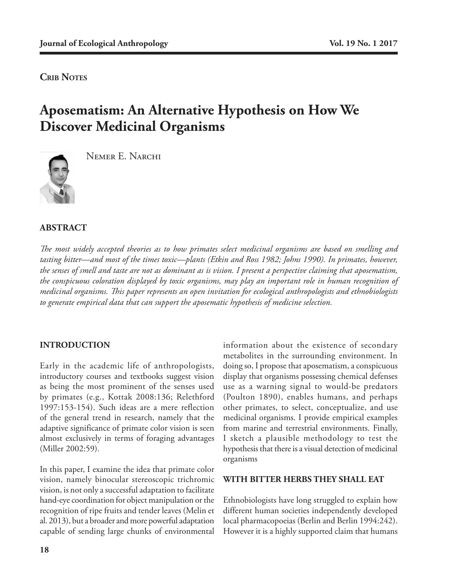**CRIB NOTES** 

# **Aposematism: An Alternative Hypothesis on How We Discover Medicinal Organisms**



Nemer E. Narchi

## **ABSTRACT**

*The most widely accepted theories as to how primates select medicinal organisms are based on smelling and tasting bitter—and most of the times toxic—plants (Etkin and Ross 1982; Johns 1990). In primates, however, the senses of smell and taste are not as dominant as is vision. I present a perspective claiming that aposematism, the conspicuous coloration displayed by toxic organisms, may play an important role in human recognition of medicinal organisms. This paper represents an open invitation for ecological anthropologists and ethnobiologists to generate empirical data that can support the aposematic hypothesis of medicine selection.* 

## **INTRODUCTION**

Early in the academic life of anthropologists, introductory courses and textbooks suggest vision as being the most prominent of the senses used by primates (e.g., Kottak 2008:136; Relethford 1997:153-154). Such ideas are a mere reflection of the general trend in research, namely that the adaptive significance of primate color vision is seen almost exclusively in terms of foraging advantages (Miller 2002:59).

In this paper, I examine the idea that primate color vision, namely binocular stereoscopic trichromic vision, is not only a successful adaptation to facilitate hand-eye coordination for object manipulation or the recognition of ripe fruits and tender leaves (Melin et al. 2013), but a broader and more powerful adaptation capable of sending large chunks of environmental

information about the existence of secondary metabolites in the surrounding environment. In doing so, I propose that aposematism, a conspicuous display that organisms possessing chemical defenses use as a warning signal to would-be predators (Poulton 1890), enables humans, and perhaps other primates, to select, conceptualize, and use medicinal organisms. I provide empirical examples from marine and terrestrial environments. Finally, I sketch a plausible methodology to test the hypothesis that there is a visual detection of medicinal organisms

#### **WITH BITTER HERBS THEY SHALL EAT**

Ethnobiologists have long struggled to explain how different human societies independently developed local pharmacopoeias (Berlin and Berlin 1994:242). However it is a highly supported claim that humans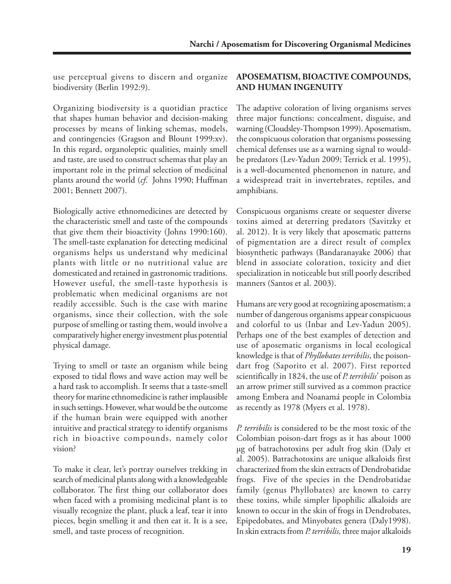use perceptual givens to discern and organize biodiversity (Berlin 1992:9).

Organizing biodiversity is a quotidian practice that shapes human behavior and decision-making processes by means of linking schemas, models, and contingencies (Gragson and Blount 1999:xv). In this regard, organoleptic qualities, mainly smell and taste, are used to construct schemas that play an important role in the primal selection of medicinal plants around the world (*cf*. Johns 1990; Huffman 2001; Bennett 2007).

Biologically active ethnomedicines are detected by the characteristic smell and taste of the compounds that give them their bioactivity (Johns 1990:160). The smell-taste explanation for detecting medicinal organisms helps us understand why medicinal plants with little or no nutritional value are domesticated and retained in gastronomic traditions. However useful, the smell-taste hypothesis is problematic when medicinal organisms are not readily accessible. Such is the case with marine organisms, since their collection, with the sole purpose of smelling or tasting them, would involve a comparatively higher energy investment plus potential physical damage.

Trying to smell or taste an organism while being exposed to tidal flows and wave action may well be a hard task to accomplish. It seems that a taste-smell theory for marine ethnomedicine is rather implausible in such settings. However, what would be the outcome if the human brain were equipped with another intuitive and practical strategy to identify organisms rich in bioactive compounds, namely color vision?

To make it clear, let's portray ourselves trekking in search of medicinal plants along with a knowledgeable collaborator. The first thing our collaborator does when faced with a promising medicinal plant is to visually recognize the plant, pluck a leaf, tear it into pieces, begin smelling it and then eat it. It is a see, smell, and taste process of recognition.

## **APOSEMATISM, BIOACTIVE COMPOUNDS, AND HUMAN INGENUITY**

The adaptive coloration of living organisms serves three major functions: concealment, disguise, and warning (Cloudsley-Thompson 1999). Aposematism, the conspicuous coloration that organisms possessing chemical defenses use as a warning signal to wouldbe predators (Lev-Yadun 2009; Terrick et al. 1995), is a well-documented phenomenon in nature, and a widespread trait in invertebrates, reptiles, and amphibians.

Conspicuous organisms create or sequester diverse toxins aimed at deterring predators (Savitzky et al. 2012). It is very likely that aposematic patterns of pigmentation are a direct result of complex biosynthetic pathways (Bandaranayake 2006) that blend in associate coloration, toxicity and diet specialization in noticeable but still poorly described manners (Santos et al. 2003).

Humans are very good at recognizing aposematism; a number of dangerous organisms appear conspicuous and colorful to us (Inbar and Lev-Yadun 2005). Perhaps one of the best examples of detection and use of aposematic organisms in local ecological knowledge is that of *Phyllobates terribilis*, the poisondart frog (Saporito et al. 2007). First reported scientifically in 1824, the use of *P. terribilis*' poison as an arrow primer still survived as a common practice among Embera and Noanamá people in Colombia as recently as 1978 (Myers et al. 1978).

*P. terribilis* is considered to be the most toxic of the Colombian poison-dart frogs as it has about 1000 µg of batrachotoxins per adult frog skin (Daly et al. 2005). Batrachotoxins are unique alkaloids first characterized from the skin extracts of Dendrobatidae frogs. Five of the species in the Dendrobatidae family (genus Phyllobates) are known to carry these toxins, while simpler lipophilic alkaloids are known to occur in the skin of frogs in Dendrobates, Epipedobates, and Minyobates genera (Daly1998). In skin extracts from *P. terribilis,* three major alkaloids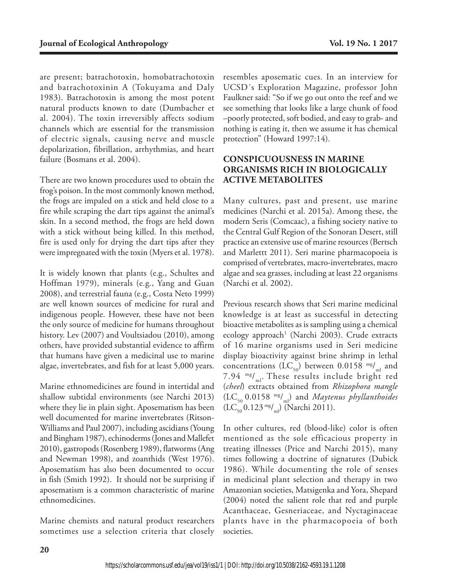are present; batrachotoxin, homobatrachotoxin and batrachotoxinin A (Tokuyama and Daly 1983). Batrachotoxin is among the most potent natural products known to date (Dumbacher et al. 2004). The toxin irreversibly affects sodium channels which are essential for the transmission of electric signals, causing nerve and muscle depolarization, fibrillation, arrhythmias, and heart failure (Bosmans et al. 2004).

There are two known procedures used to obtain the frog's poison. In the most commonly known method, the frogs are impaled on a stick and held close to a fire while scraping the dart tips against the animal's skin. In a second method, the frogs are held down with a stick without being killed. In this method, fire is used only for drying the dart tips after they were impregnated with the toxin (Myers et al. 1978).

It is widely known that plants (e.g., Schultes and Hoffman 1979), minerals (e.g., Yang and Guan 2008), and terrestrial fauna (e.g., Costa Neto 1999) are well known sources of medicine for rural and indigenous people. However, these have not been the only source of medicine for humans throughout history. Lev (2007) and Voultsiadou (2010), among others, have provided substantial evidence to affirm that humans have given a medicinal use to marine algae, invertebrates, and fish for at least 5,000 years.

Marine ethnomedicines are found in intertidal and shallow subtidal environments (see Narchi 2013) where they lie in plain sight. Aposematism has been well documented for marine invertebrates (Ritson-Williams and Paul 2007), including ascidians (Young and Bingham 1987), echinoderms (Jones and Mallefet 2010), gastropods (Rosenberg 1989), flatworms (Ang and Newman 1998), and zoanthids (West 1976). Aposematism has also been documented to occur in fish (Smith 1992). It should not be surprising if aposematism is a common characteristic of marine ethnomedicines.

Marine chemists and natural product researchers sometimes use a selection criteria that closely

resembles aposematic cues. In an interview for UCSD´s Exploration Magazine, professor John Faulkner said: "So if we go out onto the reef and we see something that looks like a large chunk of food –poorly protected, soft bodied, and easy to grab- and nothing is eating it, then we assume it has chemical protection" (Howard 1997:14).

## **CONSPICUOUSNESS IN MARINE ORGANISMS RICH IN BIOLOGICALLY ACTIVE METABOLITES**

Many cultures, past and present, use marine medicines (Narchi et al. 2015a). Among these, the modern Seris (Comcaac), a fishing society native to the Central Gulf Region of the Sonoran Desert, still practice an extensive use of marine resources (Bertsch and Marlettt 2011). Seri marine pharmacopoeia is comprised of vertebrates, macro-invertebrates, macro algae and sea grasses, including at least 22 organisms (Narchi et al. 2002).

Previous research shows that Seri marine medicinal knowledge is at least as successful in detecting bioactive metabolites as is sampling using a chemical ecology approach<sup>1</sup> (Narchi 2003). Crude extracts of 16 marine organisms used in Seri medicine display bioactivity against brine shrimp in lethal concentrations (LC<sub>50</sub>) between 0.0158  $mg/m$  and 7.94  $\mathrm{mg/m}$ . These results include bright red (*cheel*) extracts obtained from *Rhizophora mangle*  (LC50 0.0158 mg/ml) and *Maytenus phyllanthoides*  $(LC_{50} 0.123 \text{ mg/m})$  (Narchi 2011).

In other cultures, red (blood-like) color is often mentioned as the sole efficacious property in treating illnesses (Price and Narchi 2015), many times following a doctrine of signatures (Dubick 1986). While documenting the role of senses in medicinal plant selection and therapy in two Amazonian societies, Matsigenka and Yora, Shepard (2004) noted the salient role that red and purple Acanthaceae, Gesneriaceae, and Nyctaginaceae plants have in the pharmacopoeia of both societies.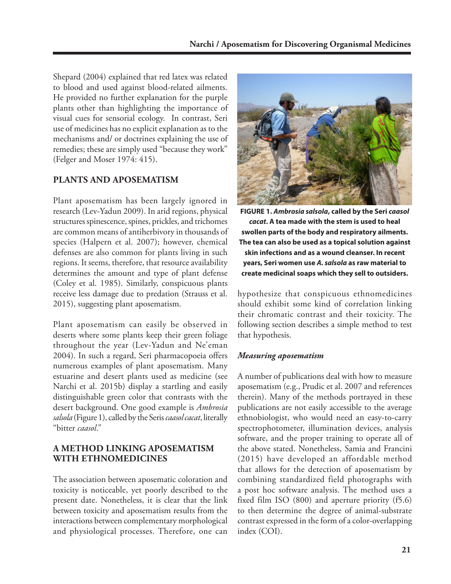Shepard (2004) explained that red latex was related to blood and used against blood-related ailments. He provided no further explanation for the purple plants other than highlighting the importance of visual cues for sensorial ecology. In contrast, Seri use of medicines has no explicit explanation as to the mechanisms and/ or doctrines explaining the use of remedies; these are simply used "because they work" (Felger and Moser 1974: 415).

## **PLANTS AND APOSEMATISM**

Plant aposematism has been largely ignored in research (Lev-Yadun 2009). In arid regions, physical structures spinescence, spines, prickles, and trichomes are common means of antiherbivory in thousands of species (Halpern et al. 2007); however, chemical defenses are also common for plants living in such regions. It seems, therefore, that resource availability determines the amount and type of plant defense (Coley et al. 1985). Similarly, conspicuous plants receive less damage due to predation (Strauss et al. 2015), suggesting plant aposematism.

Plant aposematism can easily be observed in deserts where some plants keep their green foliage throughout the year (Lev-Yadun and Ne'eman 2004). In such a regard, Seri pharmacopoeia offers numerous examples of plant aposematism. Many estuarine and desert plants used as medicine (see Narchi et al. 2015b) display a startling and easily distinguishable green color that contrasts with the desert background. One good example is *Ambrosia salsola* (Figure 1), called by the Seris *caasol cacat*, literally "bitter *caasol*."

## **A METHOD LINKING APOSEMATISM WITH ETHNOMEDICINES**

The association between aposematic coloration and toxicity is noticeable, yet poorly described to the present date. Nonetheless, it is clear that the link between toxicity and aposematism results from the interactions between complementary morphological and physiological processes. Therefore, one can



**FIGURE 1.** *Ambrosia salsola***, called by the Seri** *caasol cacat***. A tea made with the stem is used to heal swollen parts of the body and respiratory ailments. The tea can also be used as a topical solution against skin infections and as a wound cleanser. In recent years, Seri women use** *A. salsola* **as raw material to create medicinal soaps which they sell to outsiders.**

hypothesize that conspicuous ethnomedicines should exhibit some kind of correlation linking their chromatic contrast and their toxicity. The following section describes a simple method to test that hypothesis.

#### *Measuring aposematism*

A number of publications deal with how to measure aposematism (e.g., Prudic et al. 2007 and references therein). Many of the methods portrayed in these publications are not easily accessible to the average ethnobiologist, who would need an easy-to-carry spectrophotometer, illumination devices, analysis software, and the proper training to operate all of the above stated. Nonetheless, Samia and Francini (2015) have developed an affordable method that allows for the detection of aposematism by combining standardized field photographs with a post hoc software analysis. The method uses a fixed film ISO (800) and aperture priority (f5.6) to then determine the degree of animal-substrate contrast expressed in the form of a color-overlapping index (COI).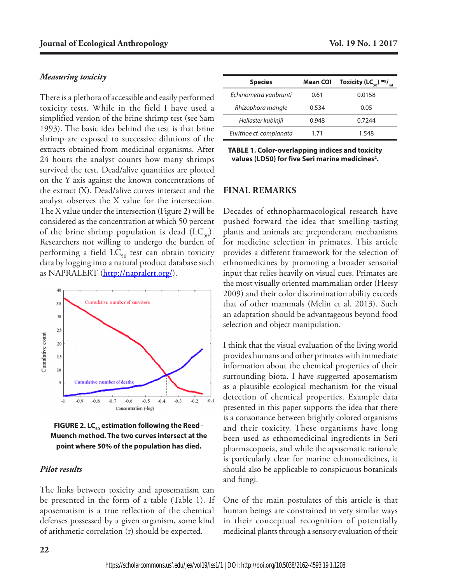#### *Measuring toxicity*

There is a plethora of accessible and easily performed toxicity tests. While in the field I have used a simplified version of the brine shrimp test (see Sam 1993). The basic idea behind the test is that brine shrimp are exposed to successive dilutions of the extracts obtained from medicinal organisms. After 24 hours the analyst counts how many shrimps survived the test. Dead/alive quantities are plotted on the Y axis against the known concentrations of the extract (X). Dead/alive curves intersect and the analyst observes the X value for the intersection. The X value under the intersection (Figure 2) will be considered as the concentration at which 50 percent of the brine shrimp population is dead  $(LC_{50})$ . Researchers not willing to undergo the burden of performing a field  $LC_{50}$  test can obtain toxicity data by logging into a natural product database such as NAPRALERT (http://napralert.org/).



**FIGURE 2. LC<sub>50</sub> estimation following the Reed -Muench method. The two curves intersect at the point where 50% of the population has died.** 

#### *Pilot results*

The links between toxicity and aposematism can be presented in the form of a table (Table 1). If aposematism is a true reflection of the chemical defenses possessed by a given organism, some kind of arithmetic correlation (r) should be expected.

| <b>Species</b>          | <b>Mean COI</b> | Toxicity (LC <sub>50</sub> ) mg/ $_{\text{ml}}$ |
|-------------------------|-----------------|-------------------------------------------------|
| Fchinometra vanbrunti   | 0.61            | 0.0158                                          |
| Rhizophora mangle       | 0.534           | 0.05                                            |
| Heliaster kubinjii      | 0.948           | 0.7244                                          |
| Eurithoe cf. complanata | 171             | 1 548                                           |

**TABLE 1. Color-overlapping indices and toxicity**  values (LD50) for five Seri marine medicines<sup>2</sup>.

#### **FINAL REMARKS**

Decades of ethnopharmacological research have pushed forward the idea that smelling-tasting plants and animals are preponderant mechanisms for medicine selection in primates. This article provides a different framework for the selection of ethnomedicines by promoting a broader sensorial input that relies heavily on visual cues. Primates are the most visually oriented mammalian order (Heesy 2009) and their color discrimination ability exceeds that of other mammals (Melin et al. 2013). Such an adaptation should be advantageous beyond food selection and object manipulation.

I think that the visual evaluation of the living world provides humans and other primates with immediate information about the chemical properties of their surrounding biota. I have suggested aposematism as a plausible ecological mechanism for the visual detection of chemical properties. Example data presented in this paper supports the idea that there is a consonance between brightly colored organisms and their toxicity. These organisms have long been used as ethnomedicinal ingredients in Seri pharmacopoeia, and while the aposematic rationale is particularly clear for marine ethnomedicines, it should also be applicable to conspicuous botanicals and fungi.

One of the main postulates of this article is that human beings are constrained in very similar ways in their conceptual recognition of potentially medicinal plants through a sensory evaluation of their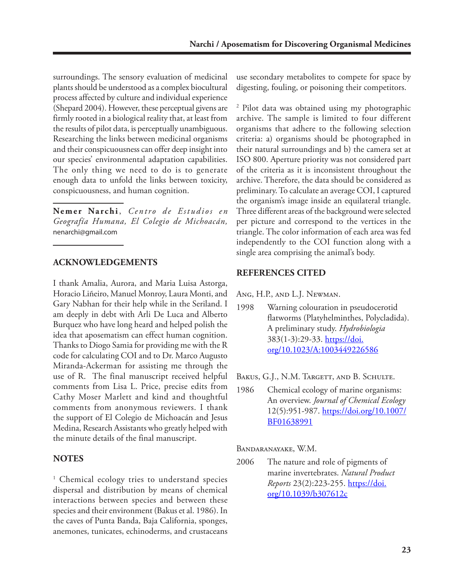surroundings. The sensory evaluation of medicinal plants should be understood as a complex biocultural process affected by culture and individual experience (Shepard 2004). However, these perceptual givens are firmly rooted in a biological reality that, at least from the results of pilot data, is perceptually unambiguous. Researching the links between medicinal organisms and their conspicuousness can offer deep insight into our species' environmental adaptation capabilities. The only thing we need to do is to generate enough data to unfold the links between toxicity, conspicuousness, and human cognition.

Nemer Narchi, Centro de Estudios en *Geografía Humana, El Colegio de Michoacán,* nenarchi@gmail.com

#### **ACKNOWLEDGEMENTS**

I thank Amalia, Aurora, and Maria Luisa Astorga, Horacio Liñeiro, Manuel Monroy, Laura Monti, and Gary Nabhan for their help while in the Seriland. I am deeply in debt with Arli De Luca and Alberto Burquez who have long heard and helped polish the idea that aposematism can effect human cognition. Thanks to Diogo Samia for providing me with the R code for calculating COI and to Dr. Marco Augusto Miranda-Ackerman for assisting me through the use of R. The final manuscript received helpful comments from Lisa L. Price, precise edits from Cathy Moser Marlett and kind and thoughtful comments from anonymous reviewers. I thank the support of El Colegio de Michoacán and Jesus Medina, Research Assistants who greatly helped with the minute details of the final manuscript.

#### **NOTES**

<sup>1</sup> Chemical ecology tries to understand species dispersal and distribution by means of chemical interactions between species and between these species and their environment (Bakus et al. 1986). In the caves of Punta Banda, Baja California, sponges, anemones, tunicates, echinoderms, and crustaceans

use secondary metabolites to compete for space by digesting, fouling, or poisoning their competitors.

2 Pilot data was obtained using my photographic archive. The sample is limited to four different organisms that adhere to the following selection criteria: a) organisms should be photographed in their natural surroundings and b) the camera set at ISO 800. Aperture priority was not considered part of the criteria as it is inconsistent throughout the archive. Therefore, the data should be considered as preliminary. To calculate an average COI, I captured the organism's image inside an equilateral triangle. Three different areas of the background were selected per picture and correspond to the vertices in the triangle. The color information of each area was fed independently to the COI function along with a single area comprising the animal's body.

#### **REFERENCES CITED**

Ang, H.P., and L.J. Newman.

1998 Warning colouration in pseudocerotid flatworms (Platyhelminthes, Polycladida). A preliminary study. *Hydrobiologia* 383(1-3):29-33. https://doi. org/10.1023/A:1003449226586

BAKUS, G.J., N.M. TARGETT, AND B. SCHULTE.

1986 Chemical ecology of marine organisms: An overview. *Journal of Chemical Ecology*  12(5):951-987. https://doi.org/10.1007/ BF01638991

Bandaranayake, W.M.

2006 The nature and role of pigments of marine invertebrates. *Natural Product Reports* 23(2):223-255. https://doi. org/10.1039/b307612c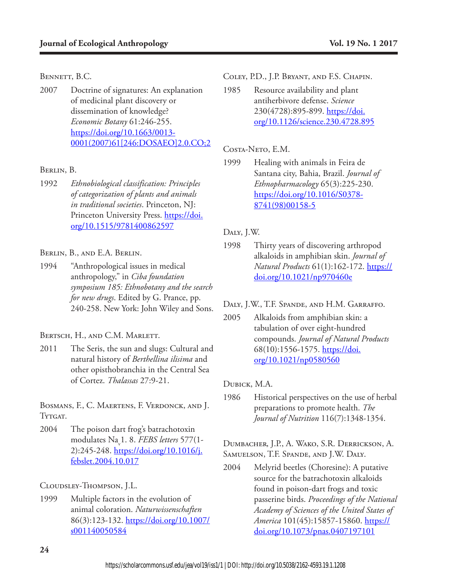#### BENNETT, B.C.

2007 Doctrine of signatures: An explanation of medicinal plant discovery or dissemination of knowledge? *Economic Botany* 61:246-255. https://doi.org/10.1663/0013- 0001(2007)61[246:DOSAEO]2.0.CO;2

#### Berlin, B.

1992 *Ethnobiological classification: Principles of categorization of plants and animals in traditional societies*. Princeton, NJ: Princeton University Press. https://doi. org/10.1515/9781400862597

#### Berlin, B., and E.A. Berlin.

1994 "Anthropological issues in medical anthropology," in *Ciba foundation symposium 185: Ethnobotany and the search for new drugs*. Edited by G. Prance, pp. 240-258. New York: John Wiley and Sons.

#### BERTSCH, H., AND C.M. MARLETT.

2011 The Seris, the sun and slugs: Cultural and natural history of *Berthellina ilisima* and other opisthobranchia in the Central Sea of Cortez. *Thalassas* 27:9-21.

Bosmans, F., C. Maertens, F. Verdonck, and J. Tytgat.

2004 The poison dart frog's batrachotoxin modulates Nav 1. 8. *FEBS letters* 577(1- 2):245-248. https://doi.org/10.1016/j. febslet.2004.10.017

Cloudsley-Thompson, J.L.

1999 Multiple factors in the evolution of animal coloration. *Naturwissenschaften* 86(3):123-132. https://doi.org/10.1007/ s001140050584

Coley, P.D., J.P. Bryant, and F.S. Chapin.

1985 Resource availability and plant antiherbivore defense. *Science* 230(4728):895-899. https://doi. org/10.1126/science.230.4728.895

## Costa-Neto, E.M.

1999 Healing with animals in Feira de Santana city, Bahia, Brazil. *Journal of Ethnopharmacology* 65(3):225-230. https://doi.org/10.1016/S0378- 8741(98)00158-5

## Daly, J.W.

1998 Thirty years of discovering arthropod alkaloids in amphibian skin. *Journal of Natural Products* 61(1):162-172. https:// doi.org/10.1021/np970460e

#### Daly, J.W., T.F. Spande, and H.M. Garraffo.

2005 Alkaloids from amphibian skin: a tabulation of over eight-hundred compounds. *Journal of Natural Products* 68(10):1556-1575. https://doi. org/10.1021/np0580560

#### Dubick, M.A.

1986 Historical perspectives on the use of herbal preparations to promote health. *The Journal of Nutrition* 116(7):1348-1354.

Dumbacher, J.P., A. Wako, S.R. Derrickson, A. SAMUELSON, T.F. SPANDE, AND J.W. DALY.

2004 Melyrid beetles (Choresine): A putative source for the batrachotoxin alkaloids found in poison-dart frogs and toxic passerine birds. *Proceedings of the National Academy of Sciences of the United States of America* 101(45):15857-15860. https:// doi.org/10.1073/pnas.0407197101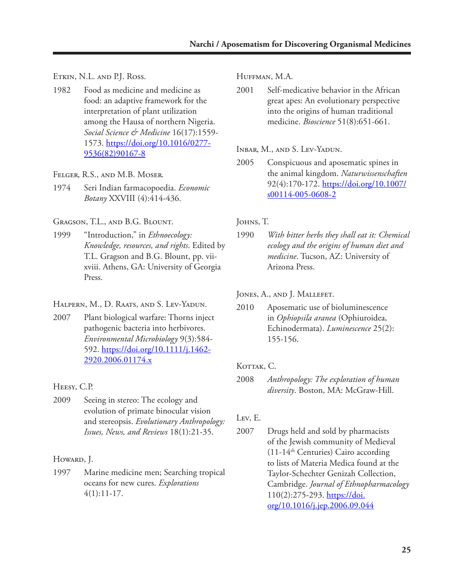Etkin, N.L. and P.J. Ross.

1982 Food as medicine and medicine as food: an adaptive framework for the interpretation of plant utilization among the Hausa of northern Nigeria. *Social Science & Medicine* 16(17):1559- 1573. https://doi.org/10.1016/0277- 9536(82)90167-8

Felger, R.S., and M.B. Moser.

1974 Seri Indian farmacopoedia. *Economic Botany* XXVIII (4):414-436.

Gragson, T.L., and B.G. Blount.

1999 "Introduction," in *Ethnoecology: Knowledge, resources, and rights*. Edited by T.L. Gragson and B.G. Blount, pp. viixviii. Athens, GA: University of Georgia Press.

HALPERN, M., D. RAATS, AND S. LEV-YADUN.

2007 Plant biological warfare: Thorns inject pathogenic bacteria into herbivores. *Environmental Microbiology* 9(3):584- 592. https://doi.org/10.1111/j.1462- 2920.2006.01174.x

Heesy, C.P.

2009 Seeing in stereo: The ecology and evolution of primate binocular vision and stereopsis. *Evolutionary Anthropology: Issues, News, and Reviews* 18(1):21-35.

Howard, J.

1997 Marine medicine men; Searching tropical oceans for new cures. *Explorations*  $4(1):11-17.$ 

Huffman, M.A.

2001 Self-medicative behavior in the African great apes: An evolutionary perspective into the origins of human traditional medicine. *Bioscience* 51(8):651-661.

Inbar, M., and S. Lev-Yadun.

2005 Conspicuous and aposematic spines in the animal kingdom. *Naturwissenschaften* 92(4):170-172. https://doi.org/10.1007/ s00114-005-0608-2

JOHNS, T.

1990 *With bitter herbs they shall eat it: Chemical ecology and the origins of human diet and medicine*. Tucson, AZ: University of Arizona Press.

JONES, A., AND J. MALLEFET.

2010 Aposematic use of bioluminescence in *Ophiopsila aranea* (Ophiuroidea, Echinodermata). *Luminescence* 25(2): 155-156.

KOTTAK, C.

2008 *Anthropology: The exploration of human diversity*. Boston, MA: McGraw-Hill.

Lev, E.

2007 Drugs held and sold by pharmacists of the Jewish community of Medieval  $(11-14<sup>th</sup> Centuries)$  Cairo according to lists of Materia Medica found at the Taylor-Schechter Genizah Collection, Cambridge. *Journal of Ethnopharmacology* 110(2):275-293. https://doi. org/10.1016/j.jep.2006.09.044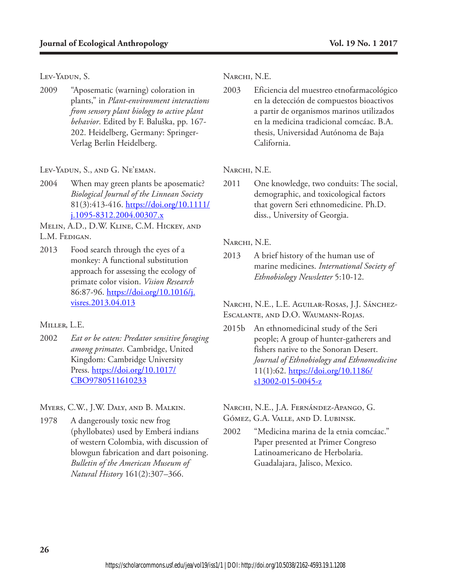Lev-Yadun, S.

2009 "Aposematic (warning) coloration in plants," in *Plant-environment interactions from sensory plant biology to active plant behavior*. Edited by F. Baluška, pp. 167- 202. Heidelberg, Germany: Springer-Verlag Berlin Heidelberg.

Lev-Yadun, S., and G. Ne'eman.

2004 When may green plants be aposematic? *Biological Journal of the Linnean Society* 81(3):413-416. https://doi.org/10.1111/ j.1095-8312.2004.00307.x

Melin, A.D., D.W. Kline, C.M. Hickey, and L.M. Fedigan.

2013 Food search through the eyes of a monkey: A functional substitution approach for assessing the ecology of primate color vision. *Vision Research* 86:87-96. https://doi.org/10.1016/j. visres.2013.04.013

#### Miller, L.E.

2002 *Eat or be eaten: Predator sensitive foraging among primates*. Cambridge, United Kingdom: Cambridge University Press. https://doi.org/10.1017/ CBO9780511610233

Myers, C.W., J.W. Daly, and B. Malkin.

1978 A dangerously toxic new frog (phyllobates) used by Emberá indians of western Colombia, with discussion of blowgun fabrication and dart poisoning. *Bulletin of the American Museum of Natural History* 161(2):307–366.

NARCHI, N.E.

2003 Eficiencia del muestreo etnofarmacológico en la detección de compuestos bioactivos a partir de organismos marinos utilizados en la medicina tradicional comcáac. B.A. thesis, Universidad Autónoma de Baja California.

### NARCHI, N.E.

2011 One knowledge, two conduits: The social, demographic, and toxicological factors that govern Seri ethnomedicine. Ph.D. diss., University of Georgia.

### NARCHI, N.E.

2013 A brief history of the human use of marine medicines. *International Society of Ethnobiology Newsletter* 5:10-12.

Narchi, N.E., L.E. Aguilar-Rosas, J.J. Sánchez-Escalante, and D.O. Waumann-Rojas.

2015b An ethnomedicinal study of the Seri people; A group of hunter-gatherers and fishers native to the Sonoran Desert. *Journal of Ethnobiology and Ethnomedicine* 11(1):62. https://doi.org/10.1186/  $s13002-015-0045-z$ 

Narchi, N.E., J.A. Fernández-Apango, G. Gómez, G.A. Valle, and D. Lubinsk.

2002 "Medicina marina de la etnia comcáac." Paper presented at Primer Congreso Latinoamericano de Herbolaria. Guadalajara, Jalisco, Mexico.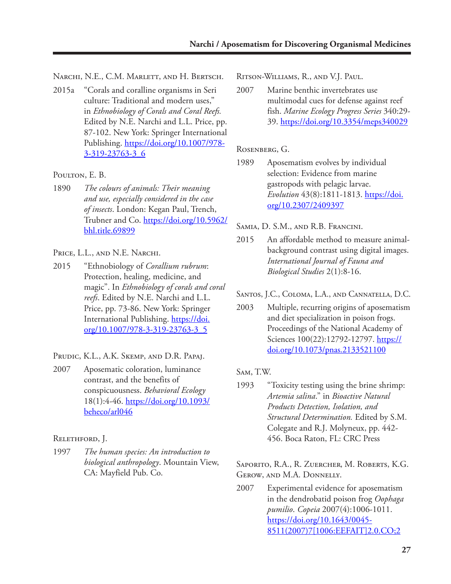NARCHI, N.E., C.M. MARLETT, AND H. BERTSCH.

2015a "Corals and coralline organisms in Seri culture: Traditional and modern uses," in *Ethnobiology of Corals and Coral Reefs.*  Edited by N.E. Narchi and L.L. Price, pp. 87-102. New York: Springer International Publishing. https://doi.org/10.1007/978- 3-319-23763-3\_6

#### POULTON, E. B.

1890 *The colours of animals: Their meaning and use, especially considered in the case of insects*. London: Kegan Paul, Trench, Trubner and Co. https://doi.org/10.5962/ bhl.title.69899

#### PRICE, L.L., AND N.E. NARCHI.

- 2015 "Ethnobiology of *Corallium rubrum*: Protection, healing, medicine, and magic". In *Ethnobiology of corals and coral reefs*. Edited by N.E. Narchi and L.L. Price, pp. 73-86. New York: Springer International Publishing. https://doi. org/10.1007/978-3-319-23763-3\_5
- Prudic, K.L., A.K. Skemp, and D.R. Papaj.
- 2007 Aposematic coloration, luminance contrast, and the benefits of conspicuousness. *Behavioral Ecology* 18(1):4-46. https://doi.org/10.1093/ beheco/arl046

#### Relethford, J.

1997 *The human species: An introduction to biological anthropology*. Mountain View, CA: Mayfield Pub. Co.

Ritson-Williams, R., and V.J. Paul.

2007 Marine benthic invertebrates use multimodal cues for defense against reef fish. *Marine Ecology Progress Series* 340:29- 39. https://doi.org/10.3354/meps340029

#### Rosenberg, G.

1989 Aposematism evolves by individual selection: Evidence from marine gastropods with pelagic larvae. *Evolution* 43(8):1811-1813. https://doi. org/10.2307/2409397

Samia, D. S.M., and R.B. Francini.

2015 An affordable method to measure animalbackground contrast using digital images. *International Journal of Fauna and Biological Studies* 2(1):8-16.

Santos, J.C., Coloma, L.A., and Cannatella, D.C.

2003 Multiple, recurring origins of aposematism and diet specialization in poison frogs. Proceedings of the National Academy of Sciences 100(22):12792-12797. https:// doi.org/10.1073/pnas.2133521100

#### Sam, T.W.

1993 "Toxicity testing using the brine shrimp: *Artemia salina*." in *Bioactive Natural Products Detection, Isolation, and Structural Determination.* Edited by S.M. Colegate and R.J. Molyneux, pp. 442- 456. Boca Raton, FL: CRC Press

Saporito, R.A., R. Zuercher, M. Roberts, K.G. Gerow, and M.A. Donnelly.

2007 Experimental evidence for aposematism in the dendrobatid poison frog *Oophaga pumilio*. *Copeia* 2007(4):1006-1011. https://doi.org/10.1643/0045- 8511(2007)7[1006:EEFAIT]2.0.CO;2